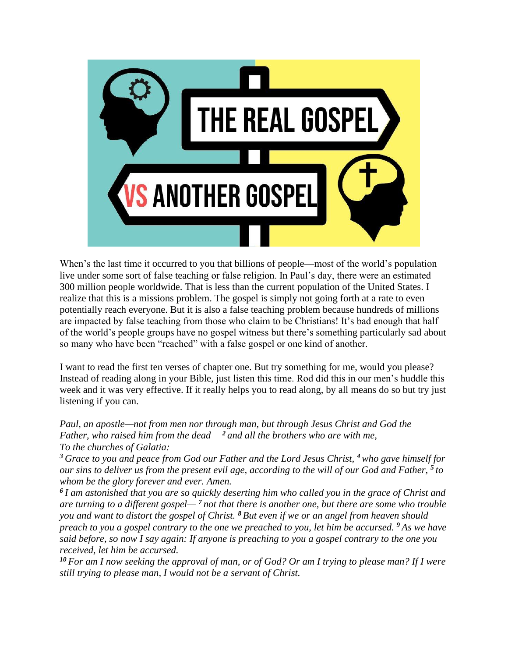

When's the last time it occurred to you that billions of people—most of the world's population live under some sort of false teaching or false religion. In Paul's day, there were an estimated 300 million people worldwide. That is less than the current population of the United States. I realize that this is a missions problem. The gospel is simply not going forth at a rate to even potentially reach everyone. But it is also a false teaching problem because hundreds of millions are impacted by false teaching from those who claim to be Christians! It's bad enough that half of the world's people groups have no gospel witness but there's something particularly sad about so many who have been "reached" with a false gospel or one kind of another.

I want to read the first ten verses of chapter one. But try something for me, would you please? Instead of reading along in your Bible, just listen this time. Rod did this in our men's huddle this week and it was very effective. If it really helps you to read along, by all means do so but try just listening if you can.

*Paul, an apostle—not from men nor through man, but through Jesus Christ and God the Father, who raised him from the dead— <sup>2</sup> and all the brothers who are with me, To the churches of Galatia:*

*<sup>3</sup> Grace to you and peace from God our Father and the Lord Jesus Christ, <sup>4</sup>who gave himself for our sins to deliver us from the present evil age, according to the will of our God and Father, <sup>5</sup> to whom be the glory forever and ever. Amen.*

*6 I am astonished that you are so quickly deserting him who called you in the grace of Christ and are turning to a different gospel— <sup>7</sup> not that there is another one, but there are some who trouble you and want to distort the gospel of Christ. <sup>8</sup> But even if we or an angel from heaven should preach to you a gospel contrary to the one we preached to you, let him be accursed. <sup>9</sup> As we have said before, so now I say again: If anyone is preaching to you a gospel contrary to the one you received, let him be accursed.*

*<sup>10</sup> For am I now seeking the approval of man, or of God? Or am I trying to please man? If I were still trying to please man, I would not be a servant of Christ.*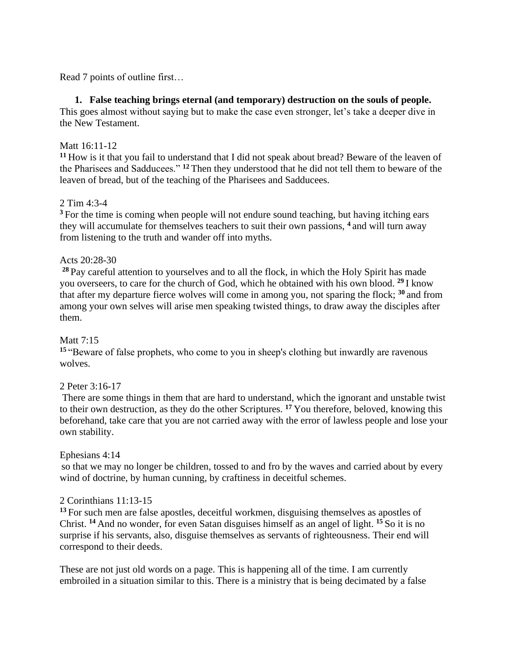Read 7 points of outline first…

### **1. False teaching brings eternal (and temporary) destruction on the souls of people.**

This goes almost without saying but to make the case even stronger, let's take a deeper dive in the New Testament.

#### Matt 16:11-12

**<sup>11</sup>** How is it that you fail to understand that I did not speak about bread? Beware of the leaven of the Pharisees and Sadducees." **<sup>12</sup>** Then they understood that he did not tell them to beware of the leaven of bread, but of the teaching of the Pharisees and Sadducees.

#### 2 Tim 4:3-4

<sup>3</sup> For the time is coming when people will not endure sound teaching, but having itching ears they will accumulate for themselves teachers to suit their own passions, **<sup>4</sup>** and will turn away from listening to the truth and wander off into myths.

## Acts 20:28-30

**<sup>28</sup>** Pay careful attention to yourselves and to all the flock, in which the Holy Spirit has made you overseers, to care for the church of God, which he obtained with his own blood. **<sup>29</sup>** I know that after my departure fierce wolves will come in among you, not sparing the flock; **<sup>30</sup>** and from among your own selves will arise men speaking twisted things, to draw away the disciples after them.

#### Matt 7:15

**<sup>15</sup>** "Beware of false prophets, who come to you in sheep's clothing but inwardly are ravenous wolves.

#### 2 Peter 3:16-17

There are some things in them that are hard to understand, which the ignorant and unstable twist to their own destruction, as they do the other Scriptures. **<sup>17</sup>** You therefore, beloved, knowing this beforehand, take care that you are not carried away with the error of lawless people and lose your own stability.

#### Ephesians 4:14

so that we may no longer be children, tossed to and fro by the waves and carried about by every wind of doctrine, by human cunning, by craftiness in deceitful schemes.

#### 2 Corinthians 11:13-15

**<sup>13</sup>** For such men are false apostles, deceitful workmen, disguising themselves as apostles of Christ. **<sup>14</sup>** And no wonder, for even Satan disguises himself as an angel of light. **<sup>15</sup>** So it is no surprise if his servants, also, disguise themselves as servants of righteousness. Their end will correspond to their deeds.

These are not just old words on a page. This is happening all of the time. I am currently embroiled in a situation similar to this. There is a ministry that is being decimated by a false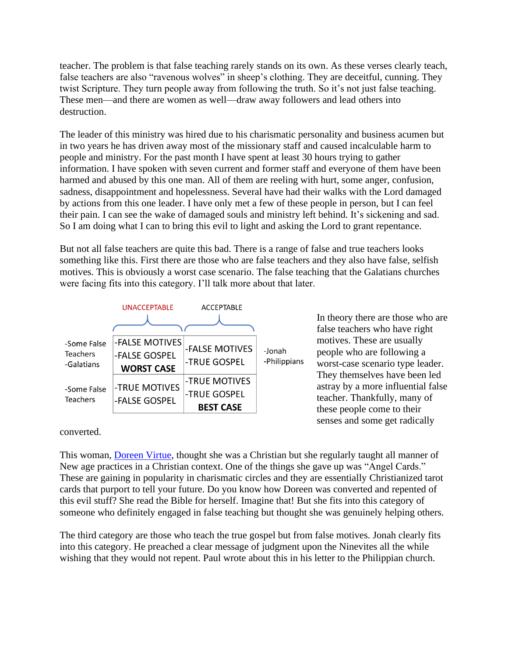teacher. The problem is that false teaching rarely stands on its own. As these verses clearly teach, false teachers are also "ravenous wolves" in sheep's clothing. They are deceitful, cunning. They twist Scripture. They turn people away from following the truth. So it's not just false teaching. These men—and there are women as well—draw away followers and lead others into destruction.

The leader of this ministry was hired due to his charismatic personality and business acumen but in two years he has driven away most of the missionary staff and caused incalculable harm to people and ministry. For the past month I have spent at least 30 hours trying to gather information. I have spoken with seven current and former staff and everyone of them have been harmed and abused by this one man. All of them are reeling with hurt, some anger, confusion, sadness, disappointment and hopelessness. Several have had their walks with the Lord damaged by actions from this one leader. I have only met a few of these people in person, but I can feel their pain. I can see the wake of damaged souls and ministry left behind. It's sickening and sad. So I am doing what I can to bring this evil to light and asking the Lord to grant repentance.

But not all false teachers are quite this bad. There is a range of false and true teachers looks something like this. First there are those who are false teachers and they also have false, selfish motives. This is obviously a worst case scenario. The false teaching that the Galatians churches were facing fits into this category. I'll talk more about that later.



In theory there are those who are false teachers who have right motives. These are usually people who are following a worst-case scenario type leader. They themselves have been led astray by a more influential false teacher. Thankfully, many of these people come to their senses and some get radically

converted.

This woman, [Doreen Virtue,](https://www.youtube.com/watch?v=Qkj9JV-mUsc) thought she was a Christian but she regularly taught all manner of New age practices in a Christian context. One of the things she gave up was "Angel Cards." These are gaining in popularity in charismatic circles and they are essentially Christianized tarot cards that purport to tell your future. Do you know how Doreen was converted and repented of this evil stuff? She read the Bible for herself. Imagine that! But she fits into this category of someone who definitely engaged in false teaching but thought she was genuinely helping others.

The third category are those who teach the true gospel but from false motives. Jonah clearly fits into this category. He preached a clear message of judgment upon the Ninevites all the while wishing that they would not repent. Paul wrote about this in his letter to the Philippian church.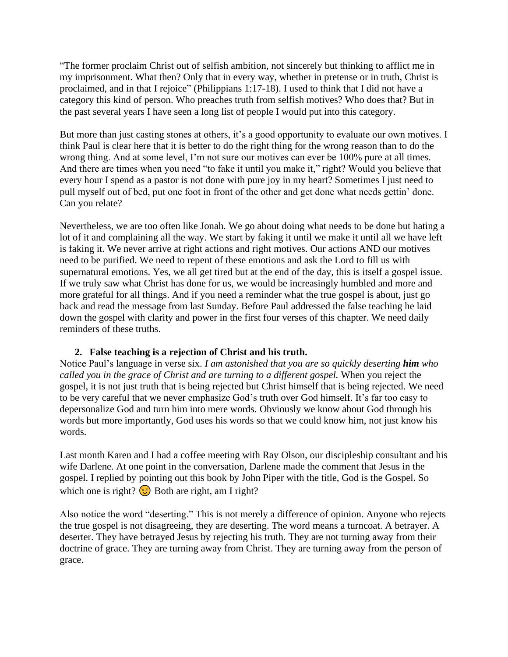"The former proclaim Christ out of selfish ambition, not sincerely but thinking to afflict me in my imprisonment. What then? Only that in every way, whether in pretense or in truth, Christ is proclaimed, and in that I rejoice" (Philippians 1:17-18). I used to think that I did not have a category this kind of person. Who preaches truth from selfish motives? Who does that? But in the past several years I have seen a long list of people I would put into this category.

But more than just casting stones at others, it's a good opportunity to evaluate our own motives. I think Paul is clear here that it is better to do the right thing for the wrong reason than to do the wrong thing. And at some level, I'm not sure our motives can ever be 100% pure at all times. And there are times when you need "to fake it until you make it," right? Would you believe that every hour I spend as a pastor is not done with pure joy in my heart? Sometimes I just need to pull myself out of bed, put one foot in front of the other and get done what needs gettin' done. Can you relate?

Nevertheless, we are too often like Jonah. We go about doing what needs to be done but hating a lot of it and complaining all the way. We start by faking it until we make it until all we have left is faking it. We never arrive at right actions and right motives. Our actions AND our motives need to be purified. We need to repent of these emotions and ask the Lord to fill us with supernatural emotions. Yes, we all get tired but at the end of the day, this is itself a gospel issue. If we truly saw what Christ has done for us, we would be increasingly humbled and more and more grateful for all things. And if you need a reminder what the true gospel is about, just go back and read the message from last Sunday. Before Paul addressed the false teaching he laid down the gospel with clarity and power in the first four verses of this chapter. We need daily reminders of these truths.

#### **2. False teaching is a rejection of Christ and his truth.**

Notice Paul's language in verse six. *I am astonished that you are so quickly deserting him who called you in the grace of Christ and are turning to a different gospel.* When you reject the gospel, it is not just truth that is being rejected but Christ himself that is being rejected. We need to be very careful that we never emphasize God's truth over God himself. It's far too easy to depersonalize God and turn him into mere words. Obviously we know about God through his words but more importantly, God uses his words so that we could know him, not just know his words.

Last month Karen and I had a coffee meeting with Ray Olson, our discipleship consultant and his wife Darlene. At one point in the conversation, Darlene made the comment that Jesus in the gospel. I replied by pointing out this book by John Piper with the title, God is the Gospel. So which one is right?  $\odot$  Both are right, am I right?

Also notice the word "deserting." This is not merely a difference of opinion. Anyone who rejects the true gospel is not disagreeing, they are deserting. The word means a turncoat. A betrayer. A deserter. They have betrayed Jesus by rejecting his truth. They are not turning away from their doctrine of grace. They are turning away from Christ. They are turning away from the person of grace.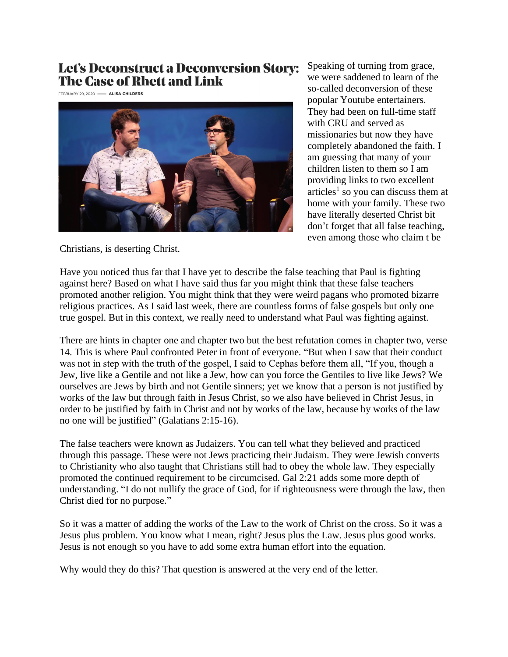# **Let's Deconstruct a Deconversion Story: The Case of Rhett and Link**

FEBRUARY 29, 2020 - ALISA CHILDERS



Speaking of turning from grace, we were saddened to learn of the so-called deconversion of these popular Youtube entertainers. They had been on full-time staff with CRU and served as missionaries but now they have completely abandoned the faith. I am guessing that many of your children listen to them so I am providing links to two excellent articles<sup>1</sup> so you can discuss them at home with your family. These two have literally deserted Christ bit don't forget that all false teaching, even among those who claim t be

Christians, is deserting Christ.

Have you noticed thus far that I have yet to describe the false teaching that Paul is fighting against here? Based on what I have said thus far you might think that these false teachers promoted another religion. You might think that they were weird pagans who promoted bizarre religious practices. As I said last week, there are countless forms of false gospels but only one true gospel. But in this context, we really need to understand what Paul was fighting against.

There are hints in chapter one and chapter two but the best refutation comes in chapter two, verse 14. This is where Paul confronted Peter in front of everyone. "But when I saw that their conduct was not in step with the truth of the gospel, I said to Cephas before them all, "If you, though a Jew, live like a Gentile and not like a Jew, how can you force the Gentiles to live like Jews? We ourselves are Jews by birth and not Gentile sinners; yet we know that a person is not justified by works of the law but through faith in Jesus Christ, so we also have believed in Christ Jesus, in order to be justified by faith in Christ and not by works of the law, because by works of the law no one will be justified" (Galatians 2:15-16).

The false teachers were known as Judaizers. You can tell what they believed and practiced through this passage. These were not Jews practicing their Judaism. They were Jewish converts to Christianity who also taught that Christians still had to obey the whole law. They especially promoted the continued requirement to be circumcised. Gal 2:21 adds some more depth of understanding. "I do not nullify the grace of God, for if righteousness were through the law, then Christ died for no purpose."

So it was a matter of adding the works of the Law to the work of Christ on the cross. So it was a Jesus plus problem. You know what I mean, right? Jesus plus the Law. Jesus plus good works. Jesus is not enough so you have to add some extra human effort into the equation.

Why would they do this? That question is answered at the very end of the letter.